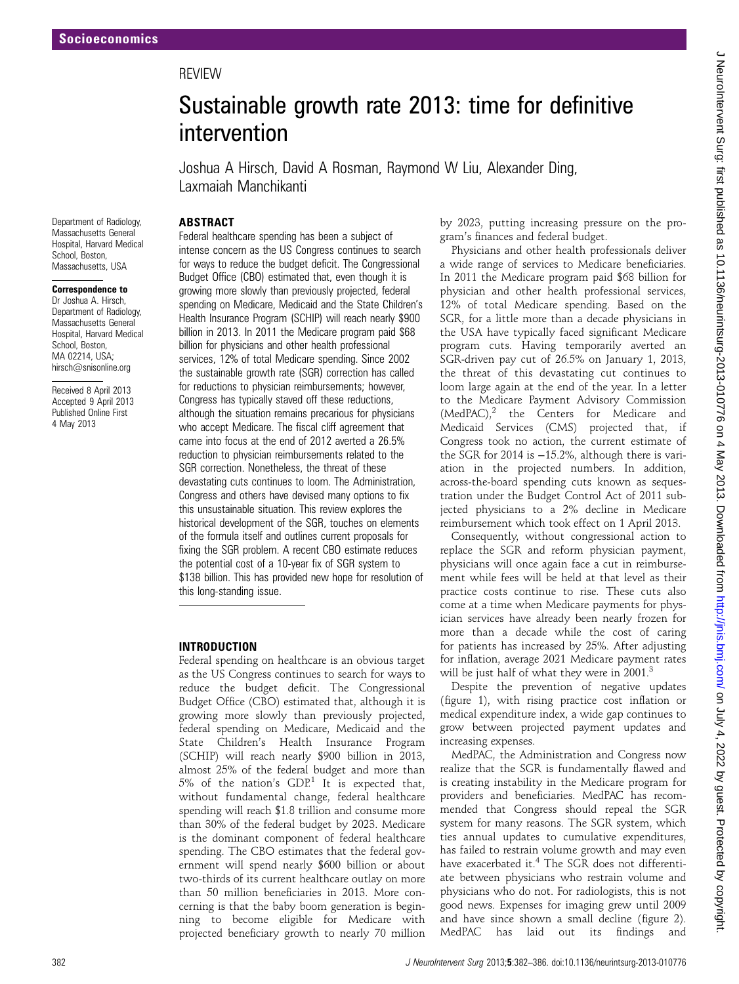# **REVIEW**

# Sustainable growth rate 2013: time for definitive intervention

Joshua A Hirsch, David A Rosman, Raymond W Liu, Alexander Ding, Laxmaiah Manchikanti

#### ABSTRACT

Department of Radiology, Massachusetts General Hospital, Harvard Medical School, Boston, Massachusetts, USA

#### Correspondence to

Dr Joshua A. Hirsch, Department of Radiology, Massachusetts General Hospital, Harvard Medical School, Boston MA 02214, USA; hirsch@snisonline.org

Received 8 April 2013 Accepted 9 April 2013 Published Online First 4 May 2013

Federal healthcare spending has been a subject of intense concern as the US Congress continues to search for ways to reduce the budget deficit. The Congressional Budget Office (CBO) estimated that, even though it is growing more slowly than previously projected, federal spending on Medicare, Medicaid and the State Children's Health Insurance Program (SCHIP) will reach nearly \$900 billion in 2013. In 2011 the Medicare program paid \$68 billion for physicians and other health professional services, 12% of total Medicare spending. Since 2002 the sustainable growth rate (SGR) correction has called for reductions to physician reimbursements; however, Congress has typically staved off these reductions, although the situation remains precarious for physicians who accept Medicare. The fiscal cliff agreement that came into focus at the end of 2012 averted a 26.5% reduction to physician reimbursements related to the SGR correction. Nonetheless, the threat of these devastating cuts continues to loom. The Administration, Congress and others have devised many options to fix this unsustainable situation. This review explores the historical development of the SGR, touches on elements of the formula itself and outlines current proposals for fixing the SGR problem. A recent CBO estimate reduces the potential cost of a 10-year fix of SGR system to \$138 billion. This has provided new hope for resolution of this long-standing issue.

#### INTRODUCTION

Federal spending on healthcare is an obvious target as the US Congress continues to search for ways to reduce the budget deficit. The Congressional Budget Office (CBO) estimated that, although it is growing more slowly than previously projected, federal spending on Medicare, Medicaid and the State Children's Health Insurance Program (SCHIP) will reach nearly \$900 billion in 2013, almost 25% of the federal budget and more than 5% of the nation's  $GDP<sup>1</sup>$  It is expected that, without fundamental change, federal healthcare spending will reach \$1.8 trillion and consume more than 30% of the federal budget by 2023. Medicare is the dominant component of federal healthcare spending. The CBO estimates that the federal government will spend nearly \$600 billion or about two-thirds of its current healthcare outlay on more than 50 million beneficiaries in 2013. More concerning is that the baby boom generation is beginning to become eligible for Medicare with projected beneficiary growth to nearly 70 million

by 2023, putting increasing pressure on the program's finances and federal budget.

Physicians and other health professionals deliver a wide range of services to Medicare beneficiaries. In 2011 the Medicare program paid \$68 billion for physician and other health professional services, 12% of total Medicare spending. Based on the SGR, for a little more than a decade physicians in the USA have typically faced significant Medicare program cuts. Having temporarily averted an SGR-driven pay cut of 26.5% on January 1, 2013, the threat of this devastating cut continues to loom large again at the end of the year. In a letter to the Medicare Payment Advisory Commission  $(MedPAC)<sup>2</sup>$  the Centers for Medicare and Medicaid Services (CMS) projected that, if Congress took no action, the current estimate of the SGR for 2014 is −15.2%, although there is variation in the projected numbers. In addition, across-the-board spending cuts known as sequestration under the Budget Control Act of 2011 subjected physicians to a 2% decline in Medicare reimbursement which took effect on 1 April 2013.

Consequently, without congressional action to replace the SGR and reform physician payment, physicians will once again face a cut in reimbursement while fees will be held at that level as their practice costs continue to rise. These cuts also come at a time when Medicare payments for physician services have already been nearly frozen for more than a decade while the cost of caring for patients has increased by 25%. After adjusting for inflation, average 2021 Medicare payment rates will be just half of what they were in 2001.<sup>3</sup>

Despite the prevention of negative updates (figure 1), with rising practice cost inflation or medical expenditure index, a wide gap continues to grow between projected payment updates and increasing expenses.

MedPAC, the Administration and Congress now realize that the SGR is fundamentally flawed and is creating instability in the Medicare program for providers and beneficiaries. MedPAC has recommended that Congress should repeal the SGR system for many reasons. The SGR system, which ties annual updates to cumulative expenditures, has failed to restrain volume growth and may even have exacerbated it.<sup>4</sup> The SGR does not differentiate between physicians who restrain volume and physicians who do not. For radiologists, this is not good news. Expenses for imaging grew until 2009 and have since shown a small decline (figure 2). MedPAC has laid out its findings and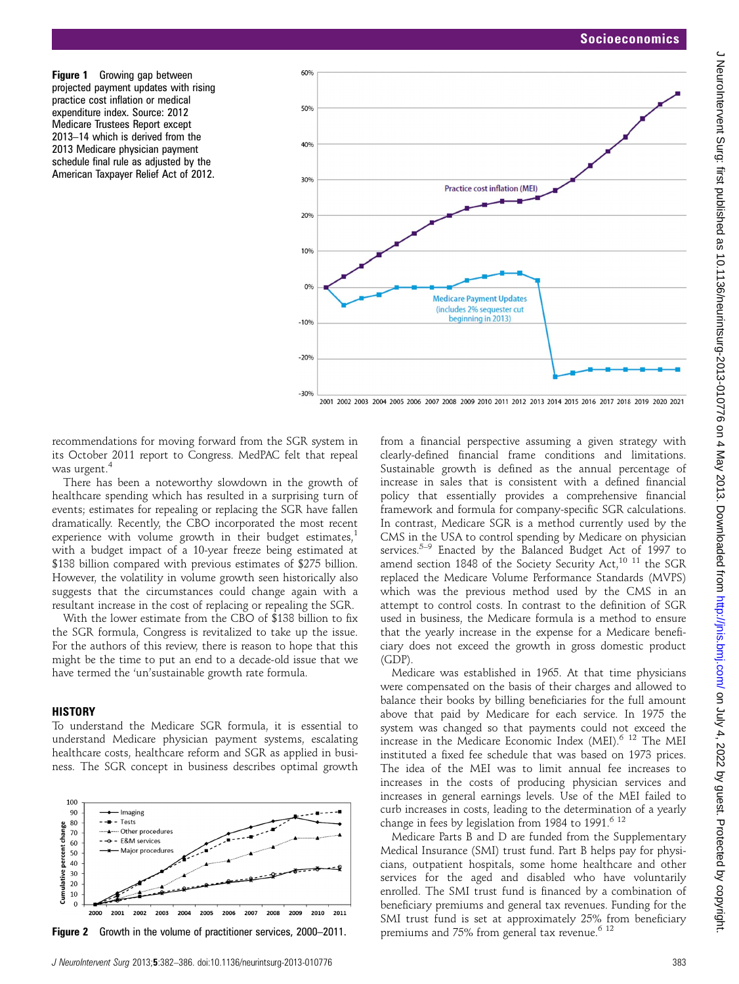Figure 1 Growing gap between projected payment updates with rising practice cost inflation or medical expenditure index. Source: 2012 Medicare Trustees Report except 2013–14 which is derived from the 2013 Medicare physician payment schedule final rule as adjusted by the American Taxpayer Relief Act of 2012.



recommendations for moving forward from the SGR system in its October 2011 report to Congress. MedPAC felt that repeal was urgent.<sup>4</sup>

There has been a noteworthy slowdown in the growth of healthcare spending which has resulted in a surprising turn of events; estimates for repealing or replacing the SGR have fallen dramatically. Recently, the CBO incorporated the most recent experience with volume growth in their budget estimates, $\frac{1}{2}$ with a budget impact of a 10-year freeze being estimated at \$138 billion compared with previous estimates of \$275 billion. However, the volatility in volume growth seen historically also suggests that the circumstances could change again with a resultant increase in the cost of replacing or repealing the SGR.

With the lower estimate from the CBO of \$138 billion to fix the SGR formula, Congress is revitalized to take up the issue. For the authors of this review, there is reason to hope that this might be the time to put an end to a decade-old issue that we have termed the 'un'sustainable growth rate formula.

#### **HISTORY**

To understand the Medicare SGR formula, it is essential to understand Medicare physician payment systems, escalating healthcare costs, healthcare reform and SGR as applied in business. The SGR concept in business describes optimal growth



**Figure 2** Growth in the volume of practitioner services, 2000–2011.

from a financial perspective assuming a given strategy with clearly-defined financial frame conditions and limitations. Sustainable growth is defined as the annual percentage of increase in sales that is consistent with a defined financial policy that essentially provides a comprehensive financial framework and formula for company-specific SGR calculations. In contrast, Medicare SGR is a method currently used by the CMS in the USA to control spending by Medicare on physician services.<sup>5–9</sup> Enacted by the Balanced Budget Act of 1997 to amend section 1848 of the Society Security Act,<sup>10 11</sup> the SGR replaced the Medicare Volume Performance Standards (MVPS) which was the previous method used by the CMS in an attempt to control costs. In contrast to the definition of SGR used in business, the Medicare formula is a method to ensure that the yearly increase in the expense for a Medicare beneficiary does not exceed the growth in gross domestic product (GDP).

Medicare was established in 1965. At that time physicians were compensated on the basis of their charges and allowed to balance their books by billing beneficiaries for the full amount above that paid by Medicare for each service. In 1975 the system was changed so that payments could not exceed the increase in the Medicare Economic Index (MEI).6 12 The MEI instituted a fixed fee schedule that was based on 1973 prices. The idea of the MEI was to limit annual fee increases to increases in the costs of producing physician services and increases in general earnings levels. Use of the MEI failed to curb increases in costs, leading to the determination of a yearly change in fees by legislation from 1984 to 1991.<sup>6 12</sup>

Medicare Parts B and D are funded from the Supplementary Medical Insurance (SMI) trust fund. Part B helps pay for physicians, outpatient hospitals, some home healthcare and other services for the aged and disabled who have voluntarily enrolled. The SMI trust fund is financed by a combination of beneficiary premiums and general tax revenues. Funding for the SMI trust fund is set at approximately 25% from beneficiary premiums and 75% from general tax revenue.<sup>6 12</sup>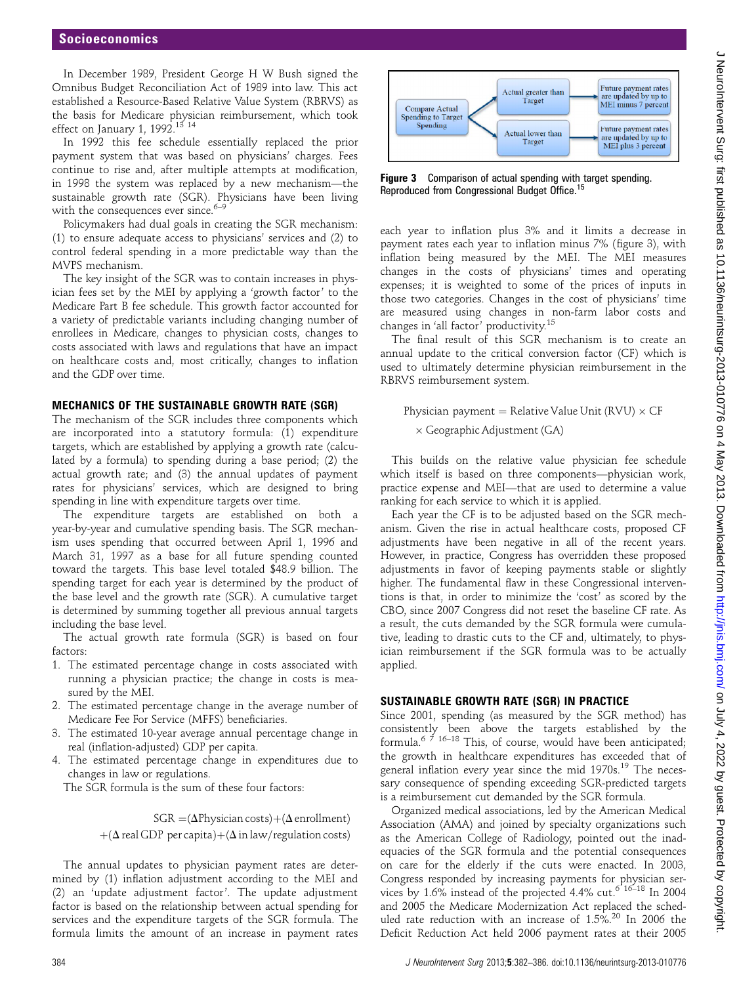In December 1989, President George H W Bush signed the Omnibus Budget Reconciliation Act of 1989 into law. This act established a Resource-Based Relative Value System (RBRVS) as the basis for Medicare physician reimbursement, which took effect on January 1, 1992.<sup>13</sup><sup>14</sup>

In 1992 this fee schedule essentially replaced the prior payment system that was based on physicians' charges. Fees continue to rise and, after multiple attempts at modification, in 1998 the system was replaced by a new mechanism—the sustainable growth rate (SGR). Physicians have been living with the consequences ever since. $6-9$ 

Policymakers had dual goals in creating the SGR mechanism: (1) to ensure adequate access to physicians' services and (2) to control federal spending in a more predictable way than the MVPS mechanism.

The key insight of the SGR was to contain increases in physician fees set by the MEI by applying a 'growth factor' to the Medicare Part B fee schedule. This growth factor accounted for a variety of predictable variants including changing number of enrollees in Medicare, changes to physician costs, changes to costs associated with laws and regulations that have an impact on healthcare costs and, most critically, changes to inflation and the GDP over time.

#### MECHANICS OF THE SUSTAINABLE GROWTH RATE (SGR)

The mechanism of the SGR includes three components which are incorporated into a statutory formula: (1) expenditure targets, which are established by applying a growth rate (calculated by a formula) to spending during a base period; (2) the actual growth rate; and (3) the annual updates of payment rates for physicians' services, which are designed to bring spending in line with expenditure targets over time.

The expenditure targets are established on both a year-by-year and cumulative spending basis. The SGR mechanism uses spending that occurred between April 1, 1996 and March 31, 1997 as a base for all future spending counted toward the targets. This base level totaled \$48.9 billion. The spending target for each year is determined by the product of the base level and the growth rate (SGR). A cumulative target is determined by summing together all previous annual targets including the base level.

The actual growth rate formula (SGR) is based on four factors:

- 1. The estimated percentage change in costs associated with running a physician practice; the change in costs is measured by the MEI.
- 2. The estimated percentage change in the average number of Medicare Fee For Service (MFFS) beneficiaries.
- 3. The estimated 10-year average annual percentage change in real (inflation-adjusted) GDP per capita.
- 4. The estimated percentage change in expenditures due to changes in law or regulations.

The SGR formula is the sum of these four factors:

 $SGR = (\Delta Physician costs)+( \Delta enrollment)$  $+( \Delta \text{ real GDP per capita})+(\Delta \text{ in law/regular}$ 

The annual updates to physician payment rates are determined by (1) inflation adjustment according to the MEI and (2) an 'update adjustment factor'. The update adjustment factor is based on the relationship between actual spending for services and the expenditure targets of the SGR formula. The formula limits the amount of an increase in payment rates



Figure 3 Comparison of actual spending with target spending. Reproduced from Congressional Budget Office.<sup>15</sup>

each year to inflation plus 3% and it limits a decrease in payment rates each year to inflation minus 7% (figure 3), with inflation being measured by the MEI. The MEI measures changes in the costs of physicians' times and operating expenses; it is weighted to some of the prices of inputs in those two categories. Changes in the cost of physicians' time are measured using changes in non-farm labor costs and changes in 'all factor' productivity.<sup>15</sup>

The final result of this SGR mechanism is to create an annual update to the critical conversion factor (CF) which is used to ultimately determine physician reimbursement in the RBRVS reimbursement system.

Physician payment  $=$  Relative Value Unit (RVU)  $\times$  CF  $\times$  Geographic Adjustment (GA)

This builds on the relative value physician fee schedule which itself is based on three components—physician work, practice expense and MEI—that are used to determine a value ranking for each service to which it is applied.

Each year the CF is to be adjusted based on the SGR mechanism. Given the rise in actual healthcare costs, proposed CF adjustments have been negative in all of the recent years. However, in practice, Congress has overridden these proposed adjustments in favor of keeping payments stable or slightly higher. The fundamental flaw in these Congressional interventions is that, in order to minimize the 'cost' as scored by the CBO, since 2007 Congress did not reset the baseline CF rate. As a result, the cuts demanded by the SGR formula were cumulative, leading to drastic cuts to the CF and, ultimately, to physician reimbursement if the SGR formula was to be actually applied.

#### SUSTAINABLE GROWTH RATE (SGR) IN PRACTICE

Since 2001, spending (as measured by the SGR method) has consistently been above the targets established by the formula.<sup>6  $\frac{7}{7}$  16-18 This, of course, would have been anticipated;</sup> the growth in healthcare expenditures has exceeded that of general inflation every year since the mid  $1970s$ .<sup>19</sup> The necessary consequence of spending exceeding SGR-predicted targets is a reimbursement cut demanded by the SGR formula.

Organized medical associations, led by the American Medical Association (AMA) and joined by specialty organizations such as the American College of Radiology, pointed out the inadequacies of the SGR formula and the potential consequences on care for the elderly if the cuts were enacted. In 2003, Congress responded by increasing payments for physician services by 1.6% instead of the projected 4.4% cut.<sup>6 16-18</sup> In 2004 and 2005 the Medicare Modernization Act replaced the scheduled rate reduction with an increase of  $1.5\%$ .<sup>20</sup> In 2006 the Deficit Reduction Act held 2006 payment rates at their 2005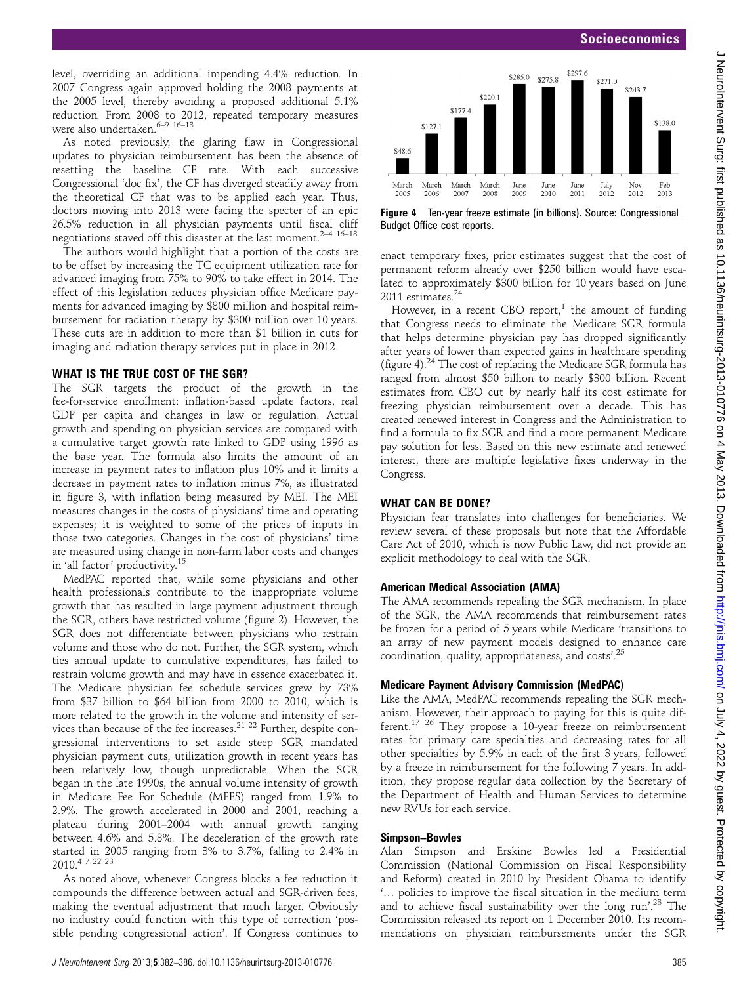### Socioeconomics

J Neurolntervent Surg: first published as 10.1136/neurintsurg-2013-010776 on 4 May 2013. Downloaded from http://jnis.bmj.com/ on July 4, 2022 by guest. Protected by copyright J NeuroIntervent Surg: first published as 10.1136/neurintsurg-2013-010776 on 4 May 2013. Downloaded from Jom J Americant Surg: First published as 10.1136 opyright.

level, overriding an additional impending 4.4% reduction. In 2007 Congress again approved holding the 2008 payments at the 2005 level, thereby avoiding a proposed additional 5.1% reduction. From 2008 to 2012, repeated temporary measures were also undertaken.<sup>6–9</sup> <sup>16–18</sup>

As noted previously, the glaring flaw in Congressional updates to physician reimbursement has been the absence of resetting the baseline CF rate. With each successive Congressional 'doc fix', the CF has diverged steadily away from the theoretical CF that was to be applied each year. Thus, doctors moving into 2013 were facing the specter of an epic 26.5% reduction in all physician payments until fiscal cliff negotiations staved off this disaster at the last moment.<sup>2-4 16-18</sup>

The authors would highlight that a portion of the costs are to be offset by increasing the TC equipment utilization rate for advanced imaging from 75% to 90% to take effect in 2014. The effect of this legislation reduces physician office Medicare payments for advanced imaging by \$800 million and hospital reimbursement for radiation therapy by \$300 million over 10 years. These cuts are in addition to more than \$1 billion in cuts for imaging and radiation therapy services put in place in 2012.

#### WHAT IS THE TRUE COST OF THE SGR?

The SGR targets the product of the growth in the fee-for-service enrollment: inflation-based update factors, real GDP per capita and changes in law or regulation. Actual growth and spending on physician services are compared with a cumulative target growth rate linked to GDP using 1996 as the base year. The formula also limits the amount of an increase in payment rates to inflation plus 10% and it limits a decrease in payment rates to inflation minus 7%, as illustrated in figure 3, with inflation being measured by MEI. The MEI measures changes in the costs of physicians' time and operating expenses; it is weighted to some of the prices of inputs in those two categories. Changes in the cost of physicians' time are measured using change in non-farm labor costs and changes in 'all factor' productivity.<sup>15</sup>

MedPAC reported that, while some physicians and other health professionals contribute to the inappropriate volume growth that has resulted in large payment adjustment through the SGR, others have restricted volume (figure 2). However, the SGR does not differentiate between physicians who restrain volume and those who do not. Further, the SGR system, which ties annual update to cumulative expenditures, has failed to restrain volume growth and may have in essence exacerbated it. The Medicare physician fee schedule services grew by 73% from \$37 billion to \$64 billion from 2000 to 2010, which is more related to the growth in the volume and intensity of services than because of the fee increases.<sup>21 22</sup> Further, despite congressional interventions to set aside steep SGR mandated physician payment cuts, utilization growth in recent years has been relatively low, though unpredictable. When the SGR began in the late 1990s, the annual volume intensity of growth in Medicare Fee For Schedule (MFFS) ranged from 1.9% to 2.9%. The growth accelerated in 2000 and 2001, reaching a plateau during 2001–2004 with annual growth ranging between 4.6% and 5.8%. The deceleration of the growth rate started in 2005 ranging from 3% to 3.7%, falling to 2.4% in 2010.4 7 22 23

As noted above, whenever Congress blocks a fee reduction it compounds the difference between actual and SGR-driven fees, making the eventual adjustment that much larger. Obviously no industry could function with this type of correction 'possible pending congressional action'. If Congress continues to



Figure 4 Ten-year freeze estimate (in billions). Source: Congressional Budget Office cost reports.

enact temporary fixes, prior estimates suggest that the cost of permanent reform already over \$250 billion would have escalated to approximately \$300 billion for 10 years based on June 2011 estimates.<sup>24</sup>

However, in a recent CBO report,<sup>1</sup> the amount of funding that Congress needs to eliminate the Medicare SGR formula that helps determine physician pay has dropped significantly after years of lower than expected gains in healthcare spending (figure 4).24 The cost of replacing the Medicare SGR formula has ranged from almost \$50 billion to nearly \$300 billion. Recent estimates from CBO cut by nearly half its cost estimate for freezing physician reimbursement over a decade. This has created renewed interest in Congress and the Administration to find a formula to fix SGR and find a more permanent Medicare pay solution for less. Based on this new estimate and renewed interest, there are multiple legislative fixes underway in the Congress.

## WHAT CAN BE DONE?

Physician fear translates into challenges for beneficiaries. We review several of these proposals but note that the Affordable Care Act of 2010, which is now Public Law, did not provide an explicit methodology to deal with the SGR.

#### American Medical Association (AMA)

The AMA recommends repealing the SGR mechanism. In place of the SGR, the AMA recommends that reimbursement rates be frozen for a period of 5 years while Medicare 'transitions to an array of new payment models designed to enhance care coordination, quality, appropriateness, and costs'. 25

#### Medicare Payment Advisory Commission (MedPAC)

Like the AMA, MedPAC recommends repealing the SGR mechanism. However, their approach to paying for this is quite different.17 26 They propose a 10-year freeze on reimbursement rates for primary care specialties and decreasing rates for all other specialties by 5.9% in each of the first 3 years, followed by a freeze in reimbursement for the following 7 years. In addition, they propose regular data collection by the Secretary of the Department of Health and Human Services to determine new RVUs for each service.

#### Simpson–Bowles

Alan Simpson and Erskine Bowles led a Presidential Commission (National Commission on Fiscal Responsibility and Reform) created in 2010 by President Obama to identify '… policies to improve the fiscal situation in the medium term and to achieve fiscal sustainability over the long run'.<sup>23</sup> The Commission released its report on 1 December 2010. Its recommendations on physician reimbursements under the SGR